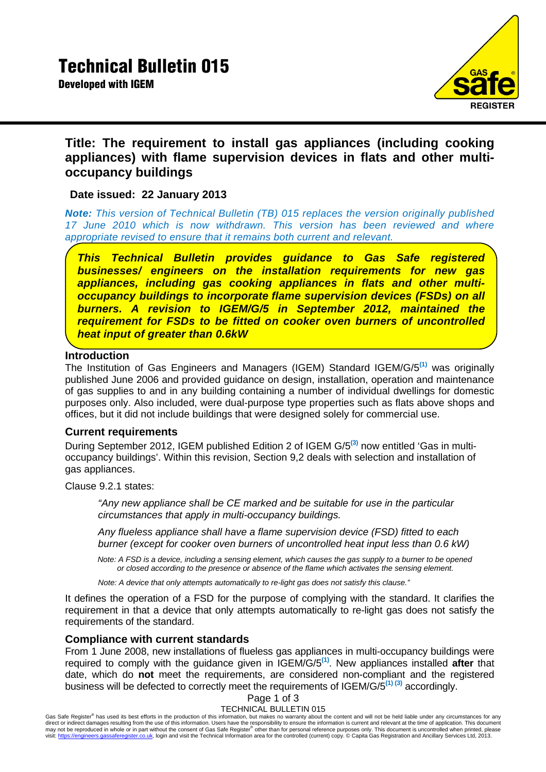

# **Title: The requirement to install gas appliances (including cooking appliances) with flame supervision devices in flats and other multioccupancy buildings**

## **Date issued: 22 January 2013**

*Note: This version of Technical Bulletin (TB) 015 replaces the version originally published 17 June 2010 which is now withdrawn. This version has been reviewed and where appropriate revised to ensure that it remains both current and relevant.*

*This Technical Bulletin provides guidance to Gas Safe registered businesses/ engineers on the installation requirements for new gas appliances, including gas cooking appliances in flats and other multioccupancy buildings to incorporate flame supervision devices (FSDs) on all burners. A revision to IGEM/G/5 in September 2012, maintained the requirement for FSDs to be fitted on cooker oven burners of uncontrolled heat input of greater than 0.6kW* 

## **Introduction**

The Institution of Gas Engineers and Managers (IGEM) Standard IGEM/G/5**(1)** was originally published June 2006 and provided guidance on design, installation, operation and maintenance of gas supplies to and in any building containing a number of individual dwellings for domestic purposes only. Also included, were dual-purpose type properties such as flats above shops and offices, but it did not include buildings that were designed solely for commercial use.

## **Current requirements**

During September 2012, IGEM published Edition 2 of IGEM G/5**(3)** now entitled 'Gas in multioccupancy buildings'. Within this revision, Section 9,2 deals with selection and installation of gas appliances.

Clause 9.2.1 states:

*"Any new appliance shall be CE marked and be suitable for use in the particular circumstances that apply in multi-occupancy buildings.* 

*Any flueless appliance shall have a flame supervision device (FSD) fitted to each burner (except for cooker oven burners of uncontrolled heat input less than 0.6 kW)* 

*Note: A FSD is a device, including a sensing element, which causes the gas supply to a burner to be opened or closed according to the presence or absence of the flame which activates the sensing element.* 

*Note: A device that only attempts automatically to re-light gas does not satisfy this clause."* 

It defines the operation of a FSD for the purpose of complying with the standard. It clarifies the requirement in that a device that only attempts automatically to re-light gas does not satisfy the requirements of the standard.

### **Compliance with current standards**

From 1 June 2008, new installations of flueless gas appliances in multi-occupancy buildings were required to comply with the guidance given in IGEM/G/5**(1)**. New appliances installed **after** that date, which do **not** meet the requirements, are considered non-compliant and the registered business will be defected to correctly meet the requirements of IGEM/G/5**(1) (3)** accordingly.

## Page 1 of 3

#### TECHNICAL BULLETIN 015

Gas Safe Register® has used its best efforts in the production of this information, but makes no warranty about the content and will not be held liable under any circumstances for any direct or indirect damages resulting f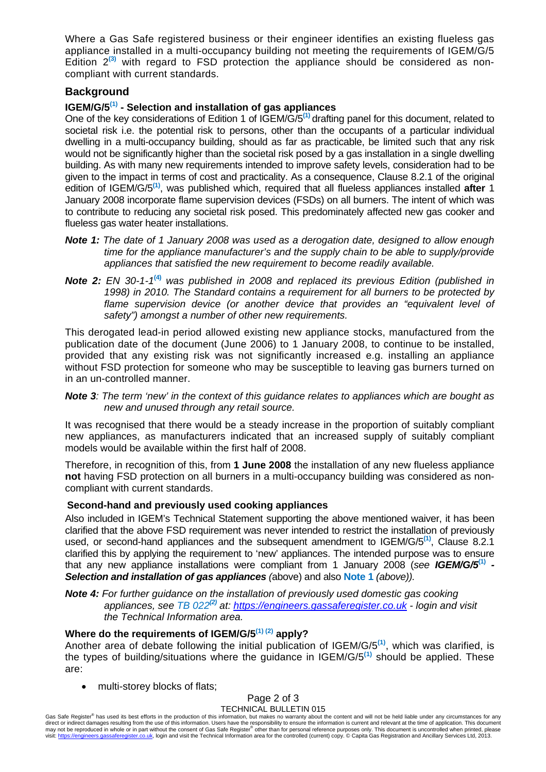Where a Gas Safe registered business or their engineer identifies an existing flueless gas appliance installed in a multi-occupancy building not meeting the requirements of IGEM/G/5 Edition 2**(3)** with regard to FSD protection the appliance should be considered as noncompliant with current standards.

### **Background**

### **IGEM/G/5(1) - Selection and installation of gas appliances**

One of the key considerations of Edition 1 of IGEM/G/5**(1)** drafting panel for this document, related to societal risk i.e. the potential risk to persons, other than the occupants of a particular individual dwelling in a multi-occupancy building, should as far as practicable, be limited such that any risk would not be significantly higher than the societal risk posed by a gas installation in a single dwelling building. As with many new requirements intended to improve safety levels, consideration had to be given to the impact in terms of cost and practicality. As a consequence, Clause 8.2.1 of the original edition of IGEM/G/5**(1)**, was published which, required that all flueless appliances installed **after** 1 January 2008 incorporate flame supervision devices (FSDs) on all burners. The intent of which was to contribute to reducing any societal risk posed. This predominately affected new gas cooker and flueless gas water heater installations.

- *Note 1: The date of 1 January 2008 was used as a derogation date, designed to allow enough time for the appliance manufacturer's and the supply chain to be able to supply/provide appliances that satisfied the new requirement to become readily available.*
- *Note 2: EN 30-1-1***(4)** *was published in 2008 and replaced its previous Edition (published in 1998) in 2010. The Standard contains a requirement for all burners to be protected by*  flame supervision device (or another device that provides an "equivalent level of *safety") amongst a number of other new requirements.*

This derogated lead-in period allowed existing new appliance stocks, manufactured from the publication date of the document (June 2006) to 1 January 2008, to continue to be installed, provided that any existing risk was not significantly increased e.g. installing an appliance without FSD protection for someone who may be susceptible to leaving gas burners turned on in an un-controlled manner.

*Note 3: The term 'new' in the context of this guidance relates to appliances which are bought as new and unused through any retail source.* 

It was recognised that there would be a steady increase in the proportion of suitably compliant new appliances, as manufacturers indicated that an increased supply of suitably compliant models would be available within the first half of 2008.

Therefore, in recognition of this, from **1 June 2008** the installation of any new flueless appliance **not** having FSD protection on all burners in a multi-occupancy building was considered as noncompliant with current standards.

### **Second-hand and previously used cooking appliances**

Also included in IGEM's Technical Statement supporting the above mentioned waiver, it has been clarified that the above FSD requirement was never intended to restrict the installation of previously used, or second-hand appliances and the subsequent amendment to IGEM/G/5**(1)**, Clause 8.2.1 clarified this by applying the requirement to 'new' appliances. The intended purpose was to ensure that any new appliance installations were compliant from 1 January 2008 (*see IGEM/G/5***(1)** *- Selection and installation of gas appliances (*above) and also **Note 1** *(above)).*

#### *Note 4: For further guidance on the installation of previously used domestic gas cooking appliances, see TB 022(2) at: https://engineers.gassaferegister.co.uk - login and visit the Technical Information area.*

### **Where do the requirements of IGEM/G/5(1) (2) apply?**

Another area of debate following the initial publication of IGEM/G/5**(1)**, which was clarified, is the types of building/situations where the guidance in IGEM/G/5**(1)** should be applied. These are:

multi-storey blocks of flats;

### Page 2 of 3

#### TECHNICAL BULLETIN 015

Gas Safe Register® has used its best efforts in the production of this information, but makes no warranty about the content and will not be held liable under any circumstances for any direct or indirect damages resulting f